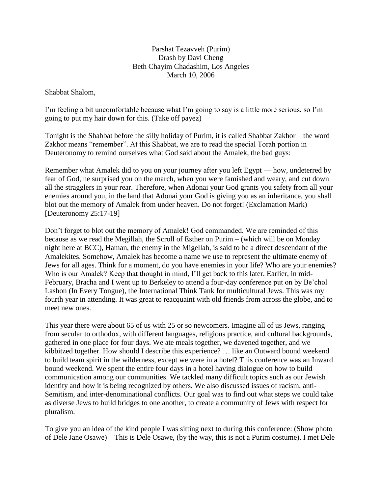## Parshat Tezavveh (Purim) Drash by Davi Cheng Beth Chayim Chadashim, Los Angeles March 10, 2006

Shabbat Shalom,

I'm feeling a bit uncomfortable because what I'm going to say is a little more serious, so I'm going to put my hair down for this. (Take off payez)

Tonight is the Shabbat before the silly holiday of Purim, it is called Shabbat Zakhor – the word Zakhor means "remember". At this Shabbat, we are to read the special Torah portion in Deuteronomy to remind ourselves what God said about the Amalek, the bad guys:

Remember what Amalek did to you on your journey after you left Egypt — how, undeterred by fear of God, he surprised you on the march, when you were famished and weary, and cut down all the stragglers in your rear. Therefore, when Adonai your God grants you safety from all your enemies around you, in the land that Adonai your God is giving you as an inheritance, you shall blot out the memory of Amalek from under heaven. Do not forget! (Exclamation Mark) [Deuteronomy 25:17-19]

Don't forget to blot out the memory of Amalek! God commanded. We are reminded of this because as we read the Megillah, the Scroll of Esther on Purim – (which will be on Monday night here at BCC), Haman, the enemy in the Migellah, is said to be a direct descendant of the Amalekites. Somehow, Amalek has become a name we use to represent the ultimate enemy of Jews for all ages. Think for a moment, do you have enemies in your life? Who are your enemies? Who is our Amalek? Keep that thought in mind, I'll get back to this later. Earlier, in mid-February, Bracha and I went up to Berkeley to attend a four-day conference put on by Be'chol Lashon (In Every Tongue), the International Think Tank for multicultural Jews. This was my fourth year in attending. It was great to reacquaint with old friends from across the globe, and to meet new ones.

This year there were about 65 of us with 25 or so newcomers. Imagine all of us Jews, ranging from secular to orthodox, with different languages, religious practice, and cultural backgrounds, gathered in one place for four days. We ate meals together, we davened together, and we kibbitzed together. How should I describe this experience? … like an Outward bound weekend to build team spirit in the wilderness, except we were in a hotel? This conference was an Inward bound weekend. We spent the entire four days in a hotel having dialogue on how to build communication among our communities. We tackled many difficult topics such as our Jewish identity and how it is being recognized by others. We also discussed issues of racism, anti-Semitism, and inter-denominational conflicts. Our goal was to find out what steps we could take as diverse Jews to build bridges to one another, to create a community of Jews with respect for pluralism.

To give you an idea of the kind people I was sitting next to during this conference: (Show photo of Dele Jane Osawe) – This is Dele Osawe, (by the way, this is not a Purim costume). I met Dele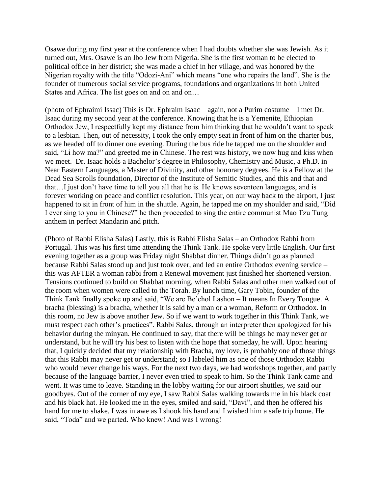Osawe during my first year at the conference when I had doubts whether she was Jewish. As it turned out, Mrs. Osawe is an Ibo Jew from Nigeria. She is the first woman to be elected to political office in her district; she was made a chief in her village, and was honored by the Nigerian royalty with the title "Odozi-Ani" which means "one who repairs the land". She is the founder of numerous social service programs, foundations and organizations in both United States and Africa. The list goes on and on and on...

(photo of Ephraimi Issac) This is Dr. Ephraim Isaac – again, not a Purim costume – I met Dr. Isaac during my second year at the conference. Knowing that he is a Yemenite, Ethiopian Orthodox Jew, I respectfully kept my distance from him thinking that he wouldn't want to speak to a lesbian. Then, out of necessity, I took the only empty seat in front of him on the charter bus, as we headed off to dinner one evening. During the bus ride he tapped me on the shoulder and said, "Li how ma?" and greeted me in Chinese. The rest was history, we now hug and kiss when we meet. Dr. Isaac holds a Bachelor's degree in Philosophy, Chemistry and Music, a Ph.D. in Near Eastern Languages, a Master of Divinity, and other honorary degrees. He is a Fellow at the Dead Sea Scrolls foundation, Director of the Institute of Semitic Studies, and this and that and that…I just don't have time to tell you all that he is. He knows seventeen languages, and is forever working on peace and conflict resolution. This year, on our way back to the airport, I just happened to sit in front of him in the shuttle. Again, he tapped me on my shoulder and said, "Did I ever sing to you in Chinese?" he then proceeded to sing the entire communist Mao Tzu Tung anthem in perfect Mandarin and pitch.

(Photo of Rabbi Elisha Salas) Lastly, this is Rabbi Elisha Salas – an Orthodox Rabbi from Portugal. This was his first time attending the Think Tank. He spoke very little English. Our first evening together as a group was Friday night Shabbat dinner. Things didn't go as planned because Rabbi Salas stood up and just took over, and led an entire Orthodox evening service – this was AFTER a woman rabbi from a Renewal movement just finished her shortened version. Tensions continued to build on Shabbat morning, when Rabbi Salas and other men walked out of the room when women were called to the Torah. By lunch time, Gary Tobin, founder of the Think Tank finally spoke up and said, "We are Be'chol Lashon – It means In Every Tongue. A bracha (blessing) is a bracha, whether it is said by a man or a woman, Reform or Orthodox. In this room, no Jew is above another Jew. So if we want to work together in this Think Tank, we must respect each other's practices". Rabbi Salas, through an interpreter then apologized for his behavior during the minyan. He continued to say, that there will be things he may never get or understand, but he will try his best to listen with the hope that someday, he will. Upon hearing that, I quickly decided that my relationship with Bracha, my love, is probably one of those things that this Rabbi may never get or understand; so I labeled him as one of those Orthodox Rabbi who would never change his ways. For the next two days, we had workshops together, and partly because of the language barrier, I never even tried to speak to him. So the Think Tank came and went. It was time to leave. Standing in the lobby waiting for our airport shuttles, we said our goodbyes. Out of the corner of my eye, I saw Rabbi Salas walking towards me in his black coat and his black hat. He looked me in the eyes, smiled and said, "Davi", and then he offered his hand for me to shake. I was in awe as I shook his hand and I wished him a safe trip home. He said, "Toda" and we parted. Who knew! And was I wrong!